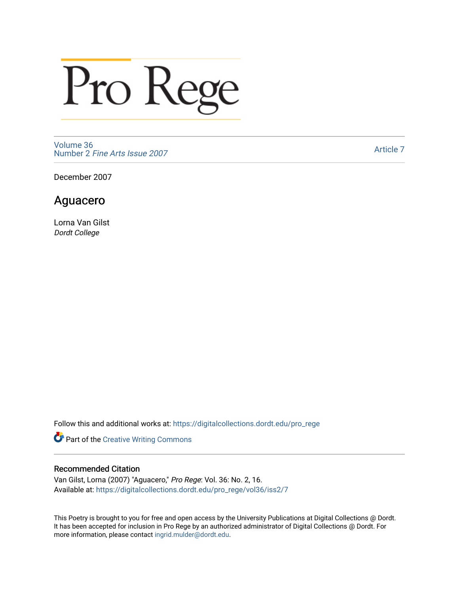## Pro Rege

[Volume 36](https://digitalcollections.dordt.edu/pro_rege/vol36) Number 2 [Fine Arts Issue 2007](https://digitalcollections.dordt.edu/pro_rege/vol36/iss2) 

[Article 7](https://digitalcollections.dordt.edu/pro_rege/vol36/iss2/7) 

December 2007

## Aguacero

Lorna Van Gilst Dordt College

Follow this and additional works at: [https://digitalcollections.dordt.edu/pro\\_rege](https://digitalcollections.dordt.edu/pro_rege?utm_source=digitalcollections.dordt.edu%2Fpro_rege%2Fvol36%2Fiss2%2F7&utm_medium=PDF&utm_campaign=PDFCoverPages) 

Part of the [Creative Writing Commons](http://network.bepress.com/hgg/discipline/574?utm_source=digitalcollections.dordt.edu%2Fpro_rege%2Fvol36%2Fiss2%2F7&utm_medium=PDF&utm_campaign=PDFCoverPages) 

## Recommended Citation

Van Gilst, Lorna (2007) "Aguacero," Pro Rege: Vol. 36: No. 2, 16. Available at: [https://digitalcollections.dordt.edu/pro\\_rege/vol36/iss2/7](https://digitalcollections.dordt.edu/pro_rege/vol36/iss2/7?utm_source=digitalcollections.dordt.edu%2Fpro_rege%2Fvol36%2Fiss2%2F7&utm_medium=PDF&utm_campaign=PDFCoverPages) 

This Poetry is brought to you for free and open access by the University Publications at Digital Collections @ Dordt. It has been accepted for inclusion in Pro Rege by an authorized administrator of Digital Collections @ Dordt. For more information, please contact [ingrid.mulder@dordt.edu.](mailto:ingrid.mulder@dordt.edu)